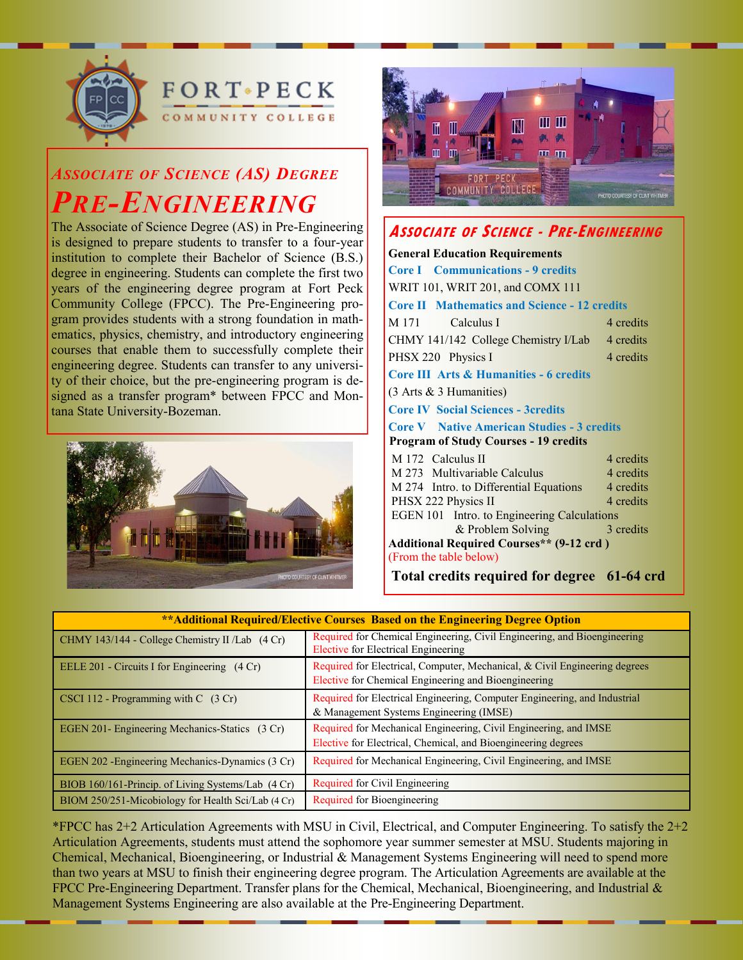

**FORT** PECK MMUNITY COLLEGE

# *ASSOCIATE OF SCIENCE (AS) DEGREE PRE-ENGINEERING*

The Associate of Science Degree (AS) in Pre-Engineering is designed to prepare students to transfer to a four-year institution to complete their Bachelor of Science (B.S.) degree in engineering. Students can complete the first two years of the engineering degree program at Fort Peck Community College (FPCC). The Pre-Engineering program provides students with a strong foundation in mathematics, physics, chemistry, and introductory engineering courses that enable them to successfully complete their engineering degree. Students can transfer to any university of their choice, but the pre-engineering program is designed as a transfer program\* between FPCC and Montana State University-Bozeman.





## **ASSOCIATE OF SCIENCE - PRE-ENGINEERING**

| <b>General Education Requirements</b>               |           |  |
|-----------------------------------------------------|-----------|--|
| <b>Core I</b> Communications - 9 credits            |           |  |
| WRIT 101, WRIT 201, and COMX 111                    |           |  |
| <b>Core II Mathematics and Science - 12 credits</b> |           |  |
| Calculus I<br>M 171                                 | 4 credits |  |
| CHMY 141/142 College Chemistry I/Lab                | 4 credits |  |
| PHSX 220 Physics I                                  | 4 credits |  |
| <b>Core III Arts &amp; Humanities - 6 credits</b>   |           |  |
| $(3 \text{ Arts } \& 3 \text{ Humanities})$         |           |  |
| <b>Core IV Social Sciences - 3credits</b>           |           |  |
| <b>Core V</b> Native American Studies - 3 credits   |           |  |
| <b>Program of Study Courses - 19 credits</b>        |           |  |
| M 172 Calculus II                                   | 4 credits |  |
| M 273 Multivariable Calculus                        | 4 credits |  |
| M 274 Intro. to Differential Equations              | 4 credits |  |
| PHSX 222 Physics II                                 | 4 credits |  |
| <b>EGEN 101</b> Intro. to Engineering Calculations  |           |  |
| & Problem Solving                                   | 3 credits |  |
| <b>Additional Required Courses** (9-12 crd)</b>     |           |  |
| (From the table below)                              |           |  |
| Total credits required for degree 61-64 crd         |           |  |

| ** Additional Required/Elective Courses Based on the Engineering Degree Option |                                                                                                                                    |  |
|--------------------------------------------------------------------------------|------------------------------------------------------------------------------------------------------------------------------------|--|
| CHMY 143/144 - College Chemistry II /Lab (4 Cr)                                | Required for Chemical Engineering, Civil Engineering, and Bioengineering<br>Elective for Electrical Engineering                    |  |
| EELE 201 - Circuits I for Engineering $(4 Cr)$                                 | Required for Electrical, Computer, Mechanical, & Civil Engineering degrees<br>Elective for Chemical Engineering and Bioengineering |  |
| CSCI 112 - Programming with $C(3 Cr)$                                          | Required for Electrical Engineering, Computer Engineering, and Industrial<br>& Management Systems Engineering (IMSE)               |  |
| EGEN 201- Engineering Mechanics-Statics (3 Cr)                                 | Required for Mechanical Engineering, Civil Engineering, and IMSE<br>Elective for Electrical, Chemical, and Bioengineering degrees  |  |
| EGEN 202 - Engineering Mechanics-Dynamics (3 Cr)                               | Required for Mechanical Engineering, Civil Engineering, and IMSE                                                                   |  |
| BIOB 160/161-Princip. of Living Systems/Lab (4 Cr)                             | Required for Civil Engineering                                                                                                     |  |
| BIOM 250/251-Micobiology for Health Sci/Lab (4 Cr)                             | Required for Bioengineering                                                                                                        |  |

\*FPCC has  $2+2$  Articulation Agreements with MSU in Civil, Electrical, and Computer Engineering. To satisfy the  $2+2$ Articulation Agreements, students must attend the sophomore year summer semester at MSU. Students majoring in Chemical, Mechanical, Bioengineering, or Industrial & Management Systems Engineering will need to spend more than two years at MSU to finish their engineering degree program. The Articulation Agreements are available at the FPCC Pre-Engineering Department. Transfer plans for the Chemical, Mechanical, Bioengineering, and Industrial & Management Systems Engineering are also available at the Pre-Engineering Department.